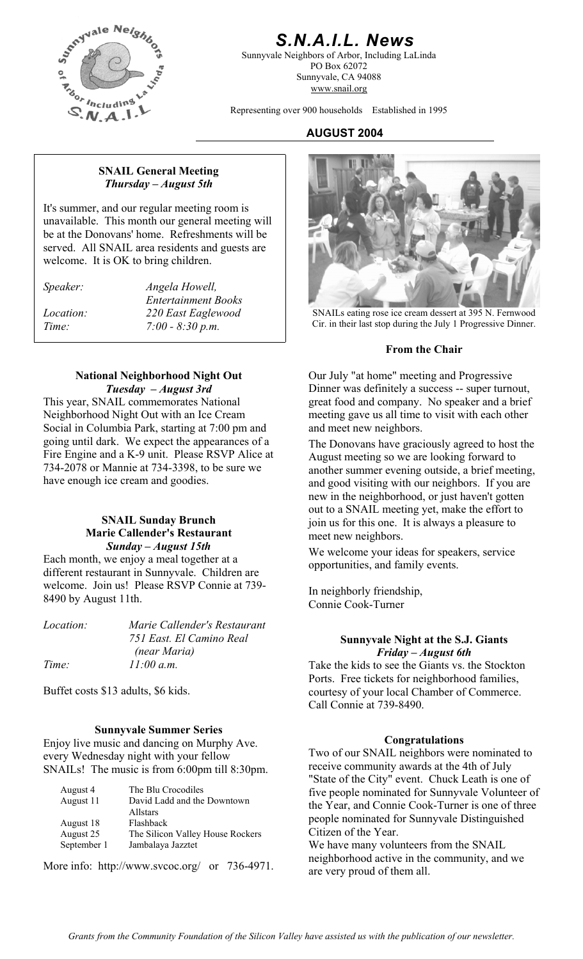

## *S.N.A.I.L. News*

Sunnyvale Neighbors of Arbor, Including LaLinda PO Box 62072 Sunnyvale, CA 94088 www.snail.org

Representing over 900 households Established in 1995

### **AUGUST 2004**

#### **SNAIL General Meeting**  *Thursday – August 5th*

It's summer, and our regular meeting room is unavailable. This month our general meeting will be at the Donovans' home. Refreshments will be served. All SNAIL area residents and guests are welcome. It is OK to bring children.

*Speaker: Angela Howell, Entertainment Books* 

#### **National Neighborhood Night Out**  *Tuesday – August 3rd*

This year, SNAIL commemorates National Neighborhood Night Out with an Ice Cream Social in Columbia Park, starting at 7:00 pm and going until dark. We expect the appearances of a Fire Engine and a K-9 unit. Please RSVP Alice at 734-2078 or Mannie at 734-3398, to be sure we have enough ice cream and goodies.

# **SNAIL Sunday Brunch Marie Callender's Restaurant**

Each month, we enjoy a meal together at a opportunities, and family events. different restaurant in Sunnyvale. Children are welcome. Join us! Please RSVP Connie at 739 wercome. Join us! Frease KSVP Comme at  $139$ -<br>8490 by August 11th. Commis Gools Turnor

| <i>Location:</i> | Marie Callender's Restaurant |
|------------------|------------------------------|
|                  | 751 East. El Camino Real     |
|                  | (near Maria)                 |
| Time:            | 11:00 a.m.                   |

Buffet costs \$13 adults, \$6 kids.

#### **Sunnyvale Summer Series**

Enjoy live music and dancing on Murphy Ave. **Congratulations** every Wednesday night with your fellow SNAILs! The music is from 6:00pm till 8:30pm.

| August 4    | The Blu Crocodiles               |
|-------------|----------------------------------|
| August 11   | David Ladd and the Downtown      |
|             | <b>Allstars</b>                  |
| August 18   | Flashback                        |
| August 25   | The Silicon Valley House Rockers |
| September 1 | Jambalaya Jazztet                |

More info: http://www.svcoc.org/ or 736-4971.



*Location: 220 East Eaglewood* SNAILs eating rose ice cream dessert at 395 N. Fernwood *Time:* 7:00 - 8:30 p.m. Cir. in their last stop during the July 1 Progressive Dinner.

#### **From the Chair**

Our July "at home" meeting and Progressive Dinner was definitely a success -- super turnout, great food and company. No speaker and a brief meeting gave us all time to visit with each other and meet new neighbors.

The Donovans have graciously agreed to host the August meeting so we are looking forward to another summer evening outside, a brief meeting, and good visiting with our neighbors. If you are new in the neighborhood, or just haven't gotten out to a SNAIL meeting yet, make the effort to join us for this one. It is always a pleasure to meet new neighbors.

*Sunday – August 15th* We welcome your ideas for speakers, service

Connie Cook-Turner

#### **Sunnyvale Night at the S.J. Giants**  *Friday – August 6th*

Take the kids to see the Giants vs. the Stockton Ports. Free tickets for neighborhood families, courtesy of your local Chamber of Commerce. Call Connie at 739-8490.

Two of our SNAIL neighbors were nominated to receive community awards at the 4th of July "State of the City" event. Chuck Leath is one of five people nominated for Sunnyvale Volunteer of the Year, and Connie Cook-Turner is one of three people nominated for Sunnyvale Distinguished Citizen of the Year.

We have many volunteers from the SNAIL neighborhood active in the community, and we are very proud of them all.